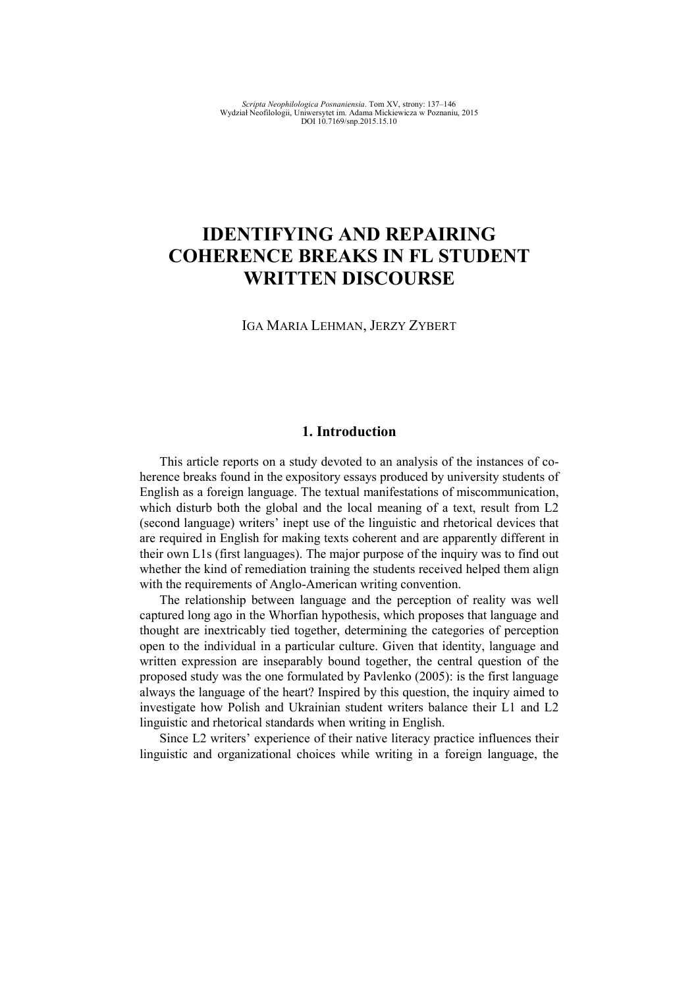# **IDENTIFYING AND REPAIRING COHERENCE BREAKS IN FL STUDENT WRITTEN DISCOURSE**

IGA MARIA LEHMAN, JERZY ZYBERT

# **1. Introduction**

This article reports on a study devoted to an analysis of the instances of coherence breaks found in the expository essays produced by university students of English as a foreign language. The textual manifestations of miscommunication, which disturb both the global and the local meaning of a text, result from L2 (second language) writers' inept use of the linguistic and rhetorical devices that are required in English for making texts coherent and are apparently different in their own L1s (first languages). The major purpose of the inquiry was to find out whether the kind of remediation training the students received helped them align with the requirements of Anglo-American writing convention.

The relationship between language and the perception of reality was well captured long ago in the Whorfian hypothesis, which proposes that language and thought are inextricably tied together, determining the categories of perception open to the individual in a particular culture. Given that identity, language and written expression are inseparably bound together, the central question of the proposed study was the one formulated by Pavlenko (2005): is the first language always the language of the heart? Inspired by this question, the inquiry aimed to investigate how Polish and Ukrainian student writers balance their L1 and L2 linguistic and rhetorical standards when writing in English.

Since L2 writers' experience of their native literacy practice influences their linguistic and organizational choices while writing in a foreign language, the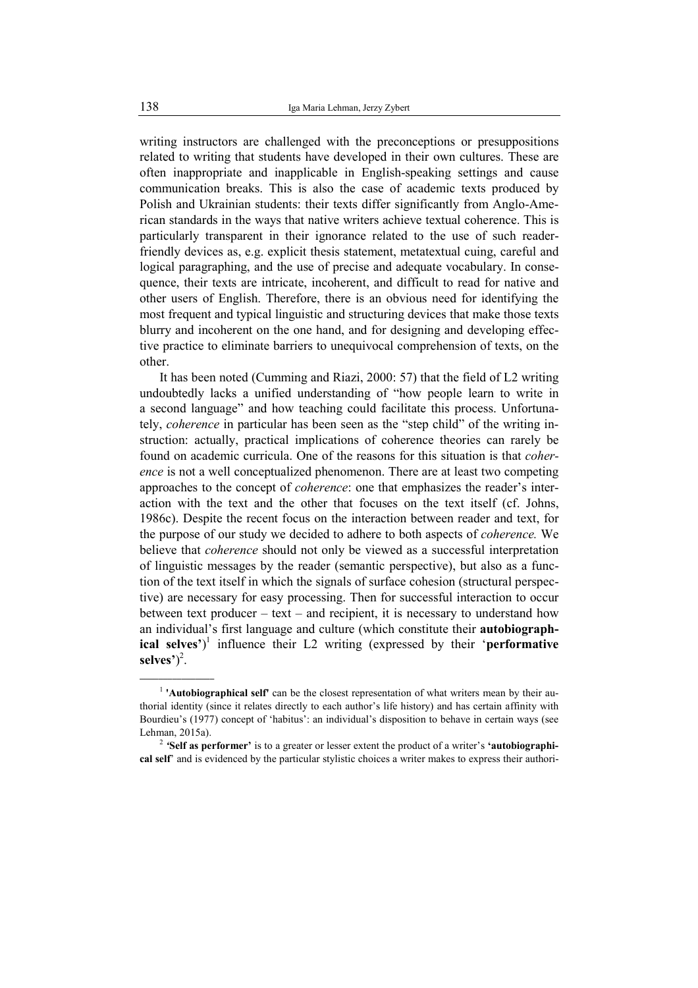writing instructors are challenged with the preconceptions or presuppositions related to writing that students have developed in their own cultures. These are often inappropriate and inapplicable in English-speaking settings and cause communication breaks. This is also the case of academic texts produced by Polish and Ukrainian students: their texts differ significantly from Anglo-American standards in the ways that native writers achieve textual coherence. This is particularly transparent in their ignorance related to the use of such readerfriendly devices as, e.g. explicit thesis statement, metatextual cuing, careful and logical paragraphing, and the use of precise and adequate vocabulary. In consequence, their texts are intricate, incoherent, and difficult to read for native and other users of English. Therefore, there is an obvious need for identifying the most frequent and typical linguistic and structuring devices that make those texts blurry and incoherent on the one hand, and for designing and developing effective practice to eliminate barriers to unequivocal comprehension of texts, on the other.

It has been noted (Cumming and Riazi, 2000: 57) that the field of L2 writing undoubtedly lacks a unified understanding of "how people learn to write in a second language" and how teaching could facilitate this process. Unfortunately, *coherence* in particular has been seen as the "step child" of the writing instruction: actually, practical implications of coherence theories can rarely be found on academic curricula. One of the reasons for this situation is that *coherence* is not a well conceptualized phenomenon. There are at least two competing approaches to the concept of *coherence*: one that emphasizes the reader's interaction with the text and the other that focuses on the text itself (cf. Johns, 1986c). Despite the recent focus on the interaction between reader and text, for the purpose of our study we decided to adhere to both aspects of *coherence.* We believe that *coherence* should not only be viewed as a successful interpretation of linguistic messages by the reader (semantic perspective), but also as a function of the text itself in which the signals of surface cohesion (structural perspective) are necessary for easy processing. Then for successful interaction to occur between text producer – text – and recipient, it is necessary to understand how an individual's first language and culture (which constitute their **autobiographical selves'**) 1 influence their L2 writing (expressed by their '**performative selves'**) 2 .

\_\_\_\_\_\_\_\_\_\_\_\_\_\_\_\_

<sup>&</sup>lt;sup>1</sup> 'Autobiographical self' can be the closest representation of what writers mean by their authorial identity (since it relates directly to each author's life history) and has certain affinity with Bourdieu's (1977) concept of 'habitus': an individual's disposition to behave in certain ways (see Lehman, 2015a).

<sup>2</sup> *'***Self as performer'** is to a greater or lesser extent the product of a writer's **'autobiographical self**' and is evidenced by the particular stylistic choices a writer makes to express their authori-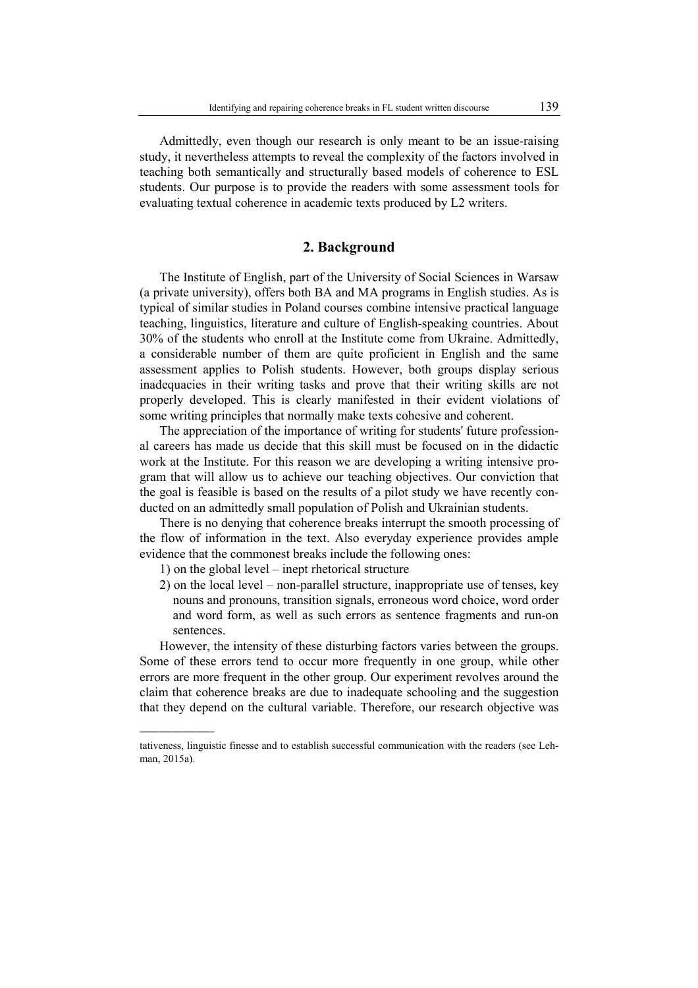Admittedly, even though our research is only meant to be an issue-raising study, it nevertheless attempts to reveal the complexity of the factors involved in teaching both semantically and structurally based models of coherence to ESL students. Our purpose is to provide the readers with some assessment tools for evaluating textual coherence in academic texts produced by L2 writers.

# **2. Background**

The Institute of English, part of the University of Social Sciences in Warsaw (a private university), offers both BA and MA programs in English studies. As is typical of similar studies in Poland courses combine intensive practical language teaching, linguistics, literature and culture of English-speaking countries. About 30% of the students who enroll at the Institute come from Ukraine. Admittedly, a considerable number of them are quite proficient in English and the same assessment applies to Polish students. However, both groups display serious inadequacies in their writing tasks and prove that their writing skills are not properly developed. This is clearly manifested in their evident violations of some writing principles that normally make texts cohesive and coherent.

The appreciation of the importance of writing for students' future professional careers has made us decide that this skill must be focused on in the didactic work at the Institute. For this reason we are developing a writing intensive program that will allow us to achieve our teaching objectives. Our conviction that the goal is feasible is based on the results of a pilot study we have recently conducted on an admittedly small population of Polish and Ukrainian students.

There is no denying that coherence breaks interrupt the smooth processing of the flow of information in the text. Also everyday experience provides ample evidence that the commonest breaks include the following ones:

1) on the global level – inept rhetorical structure

 $\overline{\phantom{a}}$  , where  $\overline{\phantom{a}}$ 

2) on the local level – non-parallel structure, inappropriate use of tenses, key nouns and pronouns, transition signals, erroneous word choice, word order and word form, as well as such errors as sentence fragments and run-on sentences.

However, the intensity of these disturbing factors varies between the groups. Some of these errors tend to occur more frequently in one group, while other errors are more frequent in the other group. Our experiment revolves around the claim that coherence breaks are due to inadequate schooling and the suggestion that they depend on the cultural variable. Therefore, our research objective was

tativeness, linguistic finesse and to establish successful communication with the readers (see Lehman, 2015a).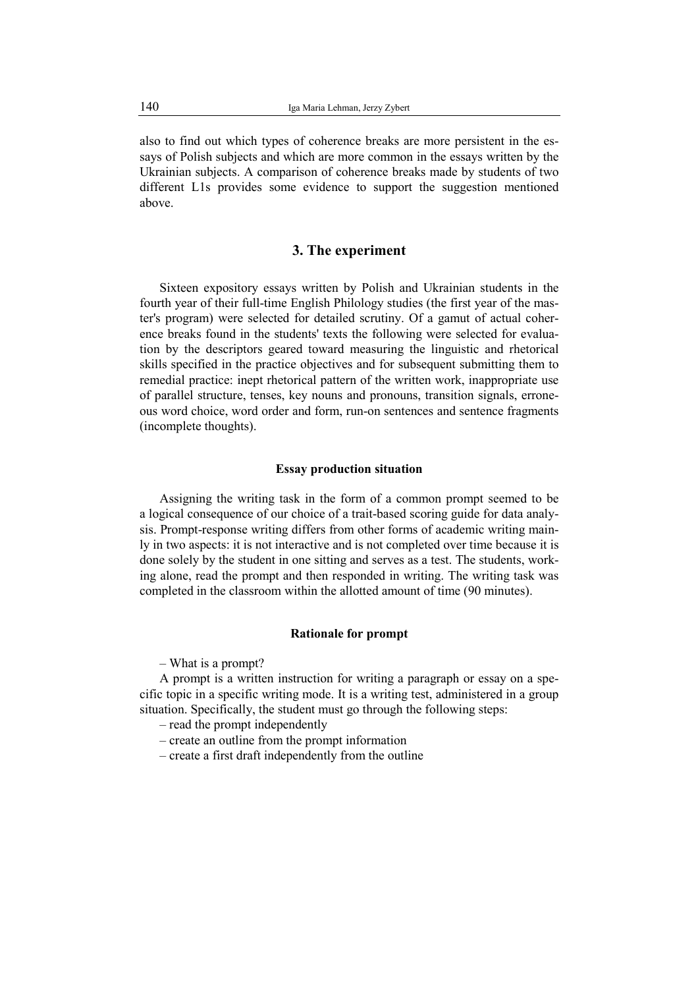also to find out which types of coherence breaks are more persistent in the essays of Polish subjects and which are more common in the essays written by the Ukrainian subjects. A comparison of coherence breaks made by students of two different L1s provides some evidence to support the suggestion mentioned above.

# **3. The experiment**

Sixteen expository essays written by Polish and Ukrainian students in the fourth year of their full-time English Philology studies (the first year of the master's program) were selected for detailed scrutiny. Of a gamut of actual coherence breaks found in the students' texts the following were selected for evaluation by the descriptors geared toward measuring the linguistic and rhetorical skills specified in the practice objectives and for subsequent submitting them to remedial practice: inept rhetorical pattern of the written work, inappropriate use of parallel structure, tenses, key nouns and pronouns, transition signals, erroneous word choice, word order and form, run-on sentences and sentence fragments (incomplete thoughts).

#### **Essay production situation**

Assigning the writing task in the form of a common prompt seemed to be a logical consequence of our choice of a trait-based scoring guide for data analysis. Prompt-response writing differs from other forms of academic writing mainly in two aspects: it is not interactive and is not completed over time because it is done solely by the student in one sitting and serves as a test. The students, working alone, read the prompt and then responded in writing. The writing task was completed in the classroom within the allotted amount of time (90 minutes).

#### **Rationale for prompt**

– What is a prompt?

A prompt is a written instruction for writing a paragraph or essay on a specific topic in a specific writing mode. It is a writing test, administered in a group situation. Specifically, the student must go through the following steps:

- read the prompt independently
- create an outline from the prompt information
- create a first draft independently from the outline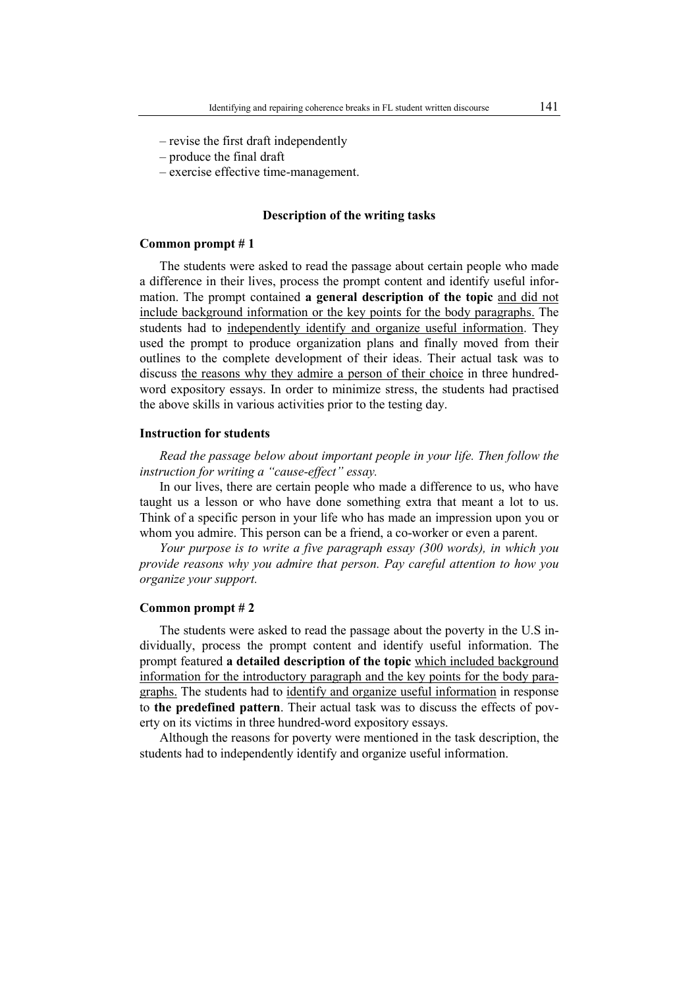- revise the first draft independently
- produce the final draft
- exercise effective time-management.

#### **Description of the writing tasks**

#### **Common prompt # 1**

The students were asked to read the passage about certain people who made a difference in their lives, process the prompt content and identify useful information. The prompt contained **a general description of the topic** and did not include background information or the key points for the body paragraphs. The students had to independently identify and organize useful information. They used the prompt to produce organization plans and finally moved from their outlines to the complete development of their ideas. Their actual task was to discuss the reasons why they admire a person of their choice in three hundredword expository essays. In order to minimize stress, the students had practised the above skills in various activities prior to the testing day.

#### **Instruction for students**

*Read the passage below about important people in your life. Then follow the instruction for writing a "cause-effect" essay.* 

In our lives, there are certain people who made a difference to us, who have taught us a lesson or who have done something extra that meant a lot to us. Think of a specific person in your life who has made an impression upon you or whom you admire. This person can be a friend, a co-worker or even a parent.

*Your purpose is to write a five paragraph essay (300 words), in which you provide reasons why you admire that person. Pay careful attention to how you organize your support.* 

#### **Common prompt # 2**

The students were asked to read the passage about the poverty in the U.S individually, process the prompt content and identify useful information. The prompt featured **a detailed description of the topic** which included background information for the introductory paragraph and the key points for the body paragraphs. The students had to identify and organize useful information in response to **the predefined pattern**. Their actual task was to discuss the effects of poverty on its victims in three hundred-word expository essays.

Although the reasons for poverty were mentioned in the task description, the students had to independently identify and organize useful information.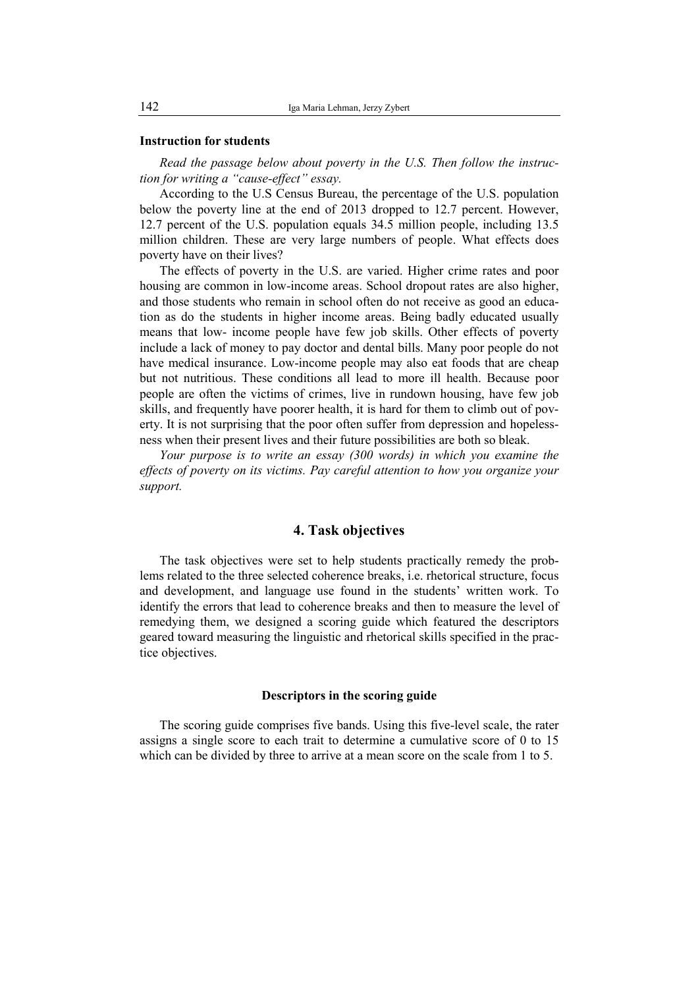#### **Instruction for students**

*Read the passage below about poverty in the U.S. Then follow the instruction for writing a "cause-effect" essay.* 

According to the U.S Census Bureau, the percentage of the U.S. population below the poverty line at the end of 2013 dropped to 12.7 percent. However, 12.7 percent of the U.S. population equals 34.5 million people, including 13.5 million children. These are very large numbers of people. What effects does poverty have on their lives?

The effects of poverty in the U.S. are varied. Higher crime rates and poor housing are common in low-income areas. School dropout rates are also higher, and those students who remain in school often do not receive as good an education as do the students in higher income areas. Being badly educated usually means that low- income people have few job skills. Other effects of poverty include a lack of money to pay doctor and dental bills. Many poor people do not have medical insurance. Low-income people may also eat foods that are cheap but not nutritious. These conditions all lead to more ill health. Because poor people are often the victims of crimes, live in rundown housing, have few job skills, and frequently have poorer health, it is hard for them to climb out of poverty. It is not surprising that the poor often suffer from depression and hopelessness when their present lives and their future possibilities are both so bleak.

*Your purpose is to write an essay (300 words) in which you examine the effects of poverty on its victims. Pay careful attention to how you organize your support.* 

## **4. Task objectives**

The task objectives were set to help students practically remedy the problems related to the three selected coherence breaks, i.e. rhetorical structure, focus and development, and language use found in the students' written work. To identify the errors that lead to coherence breaks and then to measure the level of remedying them, we designed a scoring guide which featured the descriptors geared toward measuring the linguistic and rhetorical skills specified in the practice objectives.

#### **Descriptors in the scoring guide**

The scoring guide comprises five bands. Using this five-level scale, the rater assigns a single score to each trait to determine a cumulative score of 0 to 15 which can be divided by three to arrive at a mean score on the scale from 1 to 5.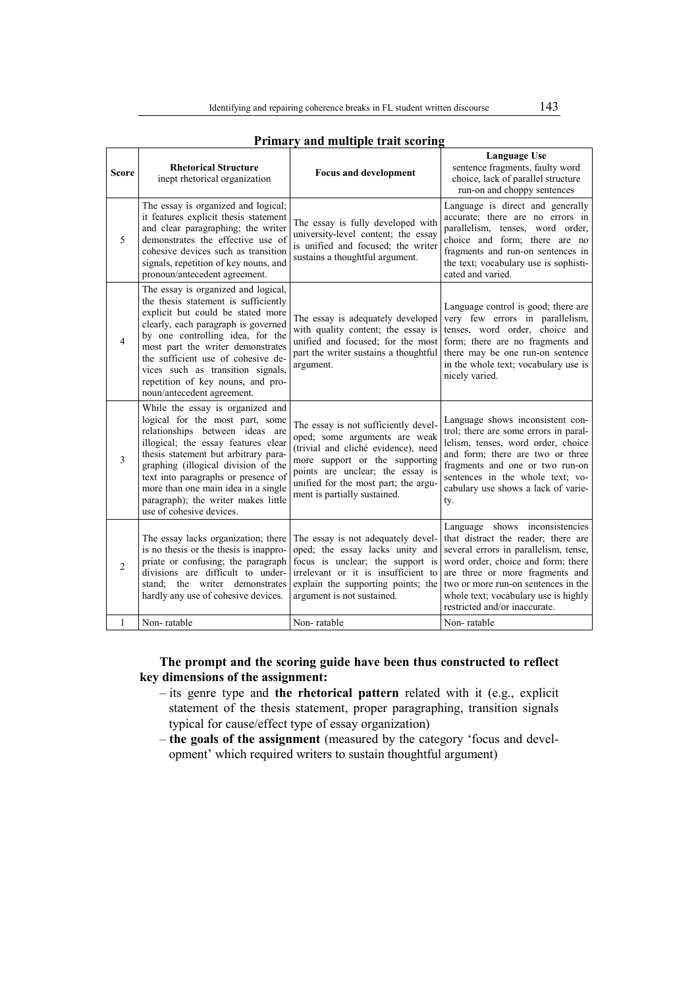| <b>Score</b>   | <b>Rhetorical Structure</b><br>inept rhetorical organization                                                                                                                                                                                                                                                                                                                   | <b>Focus and development</b>                                                                                                                                                                                                                               | Language Use<br>sentence fragments, faulty word<br>choice, lack of parallel structure<br>run-on and choppy sentences                                                                                                                                                                                    |
|----------------|--------------------------------------------------------------------------------------------------------------------------------------------------------------------------------------------------------------------------------------------------------------------------------------------------------------------------------------------------------------------------------|------------------------------------------------------------------------------------------------------------------------------------------------------------------------------------------------------------------------------------------------------------|---------------------------------------------------------------------------------------------------------------------------------------------------------------------------------------------------------------------------------------------------------------------------------------------------------|
| 5              | The essay is organized and logical;<br>it features explicit thesis statement<br>and clear paragraphing; the writer<br>demonstrates the effective use of<br>cohesive devices such as transition<br>signals, repetition of key nouns, and<br>pronoun/antecedent agreement.                                                                                                       | The essay is fully developed with<br>university-level content; the essay<br>is unified and focused; the writer<br>sustains a thoughtful argument.                                                                                                          | Language is direct and generally<br>accurate; there are no errors in<br>parallelism, tenses, word order,<br>choice and form; there are no<br>fragments and run-on sentences in<br>the text; vocabulary use is sophisti-<br>cated and varied.                                                            |
| 4              | The essay is organized and logical,<br>the thesis statement is sufficiently<br>explicit but could be stated more<br>clearly, each paragraph is governed<br>by one controlling idea, for the<br>most part the writer demonstrates<br>the sufficient use of cohesive de-<br>vices such as transition signals,<br>repetition of key nouns, and pro-<br>noun/antecedent agreement. | The essay is adequately developed<br>with quality content; the essay is<br>unified and focused; for the most<br>part the writer sustains a thoughtful<br>argument.                                                                                         | Language control is good; there are<br>very few errors in parallelism,<br>tenses, word order, choice and<br>form; there are no fragments and<br>there may be one run-on sentence<br>in the whole text; vocabulary use is<br>nicely varied.                                                              |
| $\overline{3}$ | While the essay is organized and<br>logical for the most part, some<br>relationships between ideas are<br>illogical; the essay features clear<br>thesis statement but arbitrary para-<br>graphing (illogical division of the<br>text into paragraphs or presence of<br>more than one main idea in a single<br>paragraph); the writer makes little<br>use of cohesive devices.  | The essay is not sufficiently devel-<br>oped; some arguments are weak<br>(trivial and cliché evidence), need<br>more support or the supporting<br>points are unclear; the essay is<br>unified for the most part; the argu-<br>ment is partially sustained. | Language shows inconsistent con-<br>trol; there are some errors in paral-<br>lelism, tenses, word order, choice<br>and form; there are two or three<br>fragments and one or two run-on<br>sentences in the whole text; vo-<br>cabulary use shows a lack of varie-<br>ty.                                |
| $\overline{2}$ | The essay lacks organization; there<br>is no thesis or the thesis is inappro-<br>priate or confusing; the paragraph<br>divisions are difficult to under-<br>stand; the writer demonstrates<br>hardly any use of cohesive devices.                                                                                                                                              | The essay is not adequately devel-<br>oped; the essay lacks unity and<br>focus is unclear; the support is<br>irrelevant or it is insufficient to<br>explain the supporting points; the<br>argument is not sustained.                                       | Language shows inconsistencies<br>that distract the reader; there are<br>several errors in parallelism, tense,<br>word order, choice and form; there<br>are three or more fragments and<br>two or more run-on sentences in the<br>whole text; vocabulary use is highly<br>restricted and/or inaccurate. |
| 1              | Non-ratable                                                                                                                                                                                                                                                                                                                                                                    | Non-ratable                                                                                                                                                                                                                                                | Non-ratable                                                                                                                                                                                                                                                                                             |

# **Primary and multiple trait scoring**

**The prompt and the scoring guide have been thus constructed to reflect key dimensions of the assignment:**

- its genre type and **the rhetorical pattern** related with it (e.g., explicit statement of the thesis statement, proper paragraphing, transition signals typical for cause/effect type of essay organization)
- **the goals of the assignment** (measured by the category 'focus and development' which required writers to sustain thoughtful argument)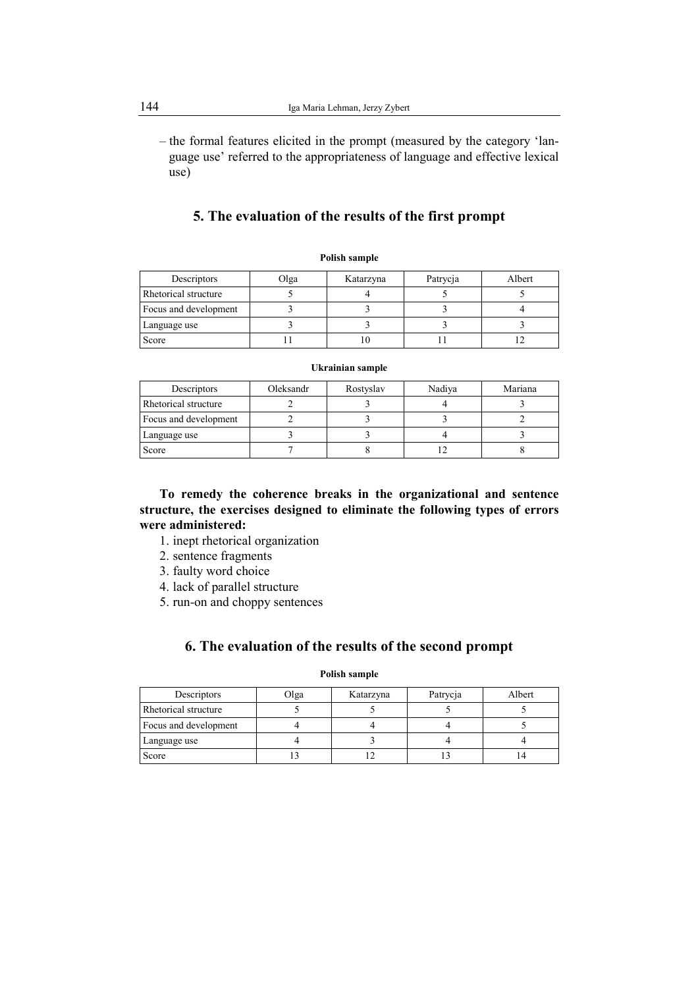– the formal features elicited in the prompt (measured by the category 'language use' referred to the appropriateness of language and effective lexical use)

# **5. The evaluation of the results of the first prompt**

| Descriptors           | Olga | Katarzyna | Patrycja | Albert |
|-----------------------|------|-----------|----------|--------|
| Rhetorical structure  |      |           |          |        |
| Focus and development |      |           |          |        |
| Language use          |      |           |          |        |
| Score                 |      |           |          |        |

#### **Ukrainian sample**

| Descriptors           | Oleksandr | Rostyslav | Nadiya | Mariana |
|-----------------------|-----------|-----------|--------|---------|
| Rhetorical structure  |           |           |        |         |
| Focus and development |           |           |        |         |
| Language use          |           |           |        |         |
| Score                 |           |           |        |         |

**To remedy the coherence breaks in the organizational and sentence structure, the exercises designed to eliminate the following types of errors were administered:** 

- 1. inept rhetorical organization
- 2. sentence fragments
- 3. faulty word choice
- 4. lack of parallel structure
- 5. run-on and choppy sentences

# **6. The evaluation of the results of the second prompt**

| Descriptors           | Olga | Katarzyna | Patrycja | Albert |
|-----------------------|------|-----------|----------|--------|
| Rhetorical structure  |      |           |          |        |
| Focus and development |      |           |          |        |
| Language use          |      |           |          |        |
| Score                 |      |           |          |        |

#### **Polish sample**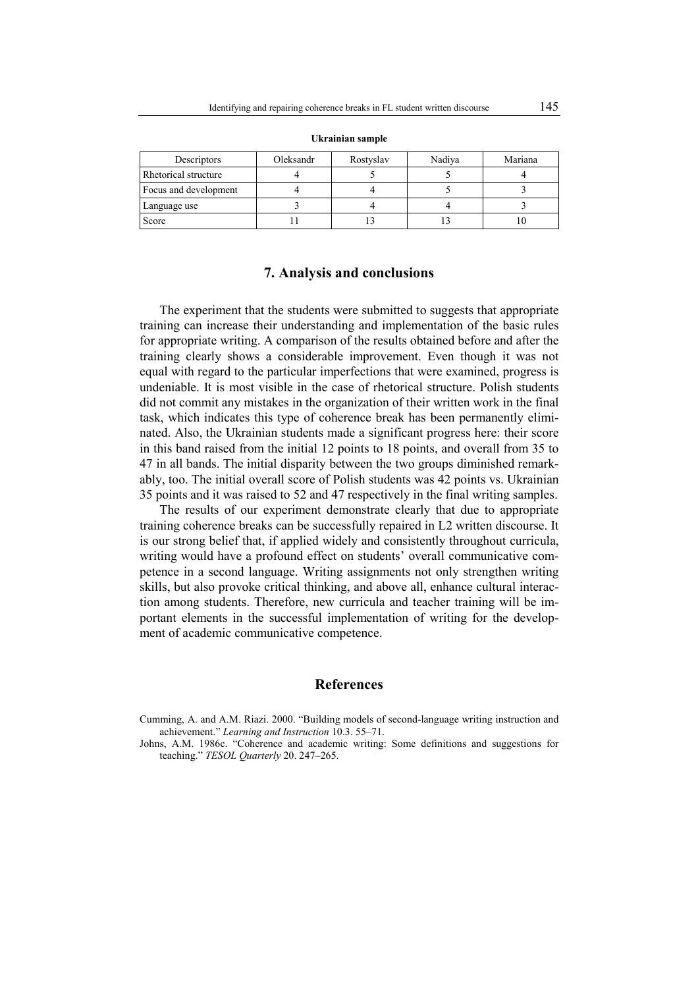| Descriptors           | Oleksandr | Rostyslav | Nadiya | Mariana |
|-----------------------|-----------|-----------|--------|---------|
| Rhetorical structure  |           |           |        |         |
| Focus and development |           |           |        |         |
| Language use          |           |           |        |         |
| Score                 |           |           |        |         |

**Ukrainian sample** 

### **7. Analysis and conclusions**

The experiment that the students were submitted to suggests that appropriate training can increase their understanding and implementation of the basic rules for appropriate writing. A comparison of the results obtained before and after the training clearly shows a considerable improvement. Even though it was not equal with regard to the particular imperfections that were examined, progress is undeniable. It is most visible in the case of rhetorical structure. Polish students did not commit any mistakes in the organization of their written work in the final task, which indicates this type of coherence break has been permanently eliminated. Also, the Ukrainian students made a significant progress here: their score in this band raised from the initial 12 points to 18 points, and overall from 35 to 47 in all bands. The initial disparity between the two groups diminished remarkably, too. The initial overall score of Polish students was 42 points vs. Ukrainian 35 points and it was raised to 52 and 47 respectively in the final writing samples.

The results of our experiment demonstrate clearly that due to appropriate training coherence breaks can be successfully repaired in L2 written discourse. It is our strong belief that, if applied widely and consistently throughout curricula, writing would have a profound effect on students' overall communicative competence in a second language. Writing assignments not only strengthen writing skills, but also provoke critical thinking, and above all, enhance cultural interaction among students. Therefore, new curricula and teacher training will be important elements in the successful implementation of writing for the development of academic communicative competence.

# **References**

- Cumming, A. and A.M. Riazi. 2000. "Building models of second-language writing instruction and achievement." *Learning and Instruction* 10.3. 55–71.
- Johns, A.M. 1986c. "Coherence and academic writing: Some definitions and suggestions for teaching." *TESOL Quarterly* 20. 247–265.